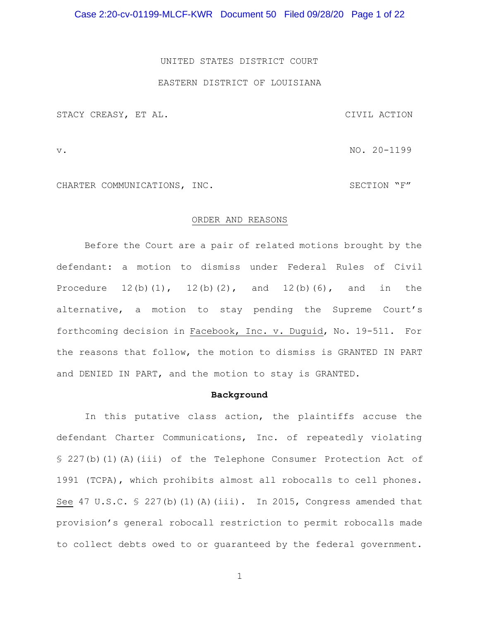Case 2:20-cv-01199-MLCF-KWR Document 50 Filed 09/28/20 Page 1 of 22

#### UNITED STATES DISTRICT COURT

## EASTERN DISTRICT OF LOUISIANA

STACY CREASY, ET AL. CIVIL ACTION

v. NO. 20-1199

CHARTER COMMUNICATIONS, INC. SECTION "F"

## ORDER AND REASONS

Before the Court are a pair of related motions brought by the defendant: a motion to dismiss under Federal Rules of Civil Procedure  $12(b)(1)$ ,  $12(b)(2)$ , and  $12(b)(6)$ , and in the alternative, a motion to stay pending the Supreme Court's forthcoming decision in Facebook, Inc. v. Duguid, No. 19-511. For the reasons that follow, the motion to dismiss is GRANTED IN PART and DENIED IN PART, and the motion to stay is GRANTED.

#### Background

 In this putative class action, the plaintiffs accuse the defendant Charter Communications, Inc. of repeatedly violating § 227(b)(1)(A)(iii) of the Telephone Consumer Protection Act of 1991 (TCPA), which prohibits almost all robocalls to cell phones. See 47 U.S.C.  $\frac{1}{2}$  227(b)(1)(A)(iii). In 2015, Congress amended that provision's general robocall restriction to permit robocalls made to collect debts owed to or guaranteed by the federal government.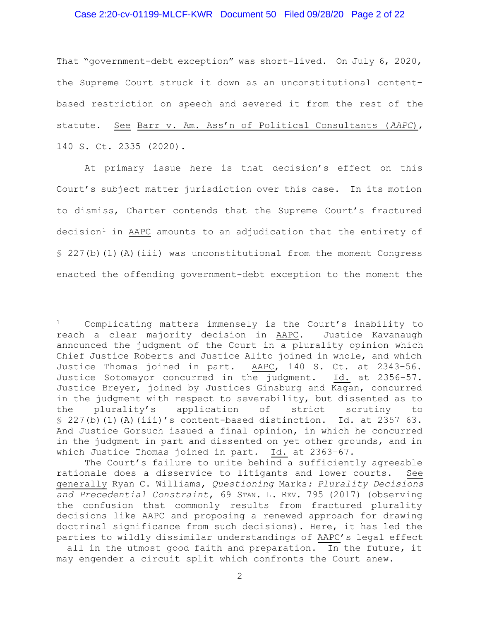# Case 2:20-cv-01199-MLCF-KWR Document 50 Filed 09/28/20 Page 2 of 22

That "government-debt exception" was short-lived. On July 6, 2020, the Supreme Court struck it down as an unconstitutional contentbased restriction on speech and severed it from the rest of the statute. See Barr v. Am. Ass'n of Political Consultants (AAPC), 140 S. Ct. 2335 (2020).

 At primary issue here is that decision's effect on this Court's subject matter jurisdiction over this case. In its motion to dismiss, Charter contends that the Supreme Court's fractured  $decision<sup>1</sup>$  in AAPC amounts to an adjudication that the entirety of  $\S$  227(b)(1)(A)(iii) was unconstitutional from the moment Congress enacted the offending government-debt exception to the moment the

<sup>1</sup> Complicating matters immensely is the Court's inability to reach a clear majority decision in AAPC. Justice Kavanaugh announced the judgment of the Court in a plurality opinion which Chief Justice Roberts and Justice Alito joined in whole, and which Justice Thomas joined in part. AAPC, 140 S. Ct. at 2343–56. Justice Sotomayor concurred in the judgment. Id. at 2356–57. Justice Breyer, joined by Justices Ginsburg and Kagan, concurred in the judgment with respect to severability, but dissented as to the plurality's application of strict scrutiny to  $\S$  227(b)(1)(A)(iii)'s content-based distinction. Id. at 2357-63. And Justice Gorsuch issued a final opinion, in which he concurred in the judgment in part and dissented on yet other grounds, and in which Justice Thomas joined in part. Id. at 2363–67.

The Court's failure to unite behind a sufficiently agreeable rationale does a disservice to litigants and lower courts. See generally Ryan C. Williams, Questioning Marks: Plurality Decisions and Precedential Constraint, 69 STAN. L. REV. 795 (2017) (observing the confusion that commonly results from fractured plurality decisions like AAPC and proposing a renewed approach for drawing doctrinal significance from such decisions). Here, it has led the parties to wildly dissimilar understandings of AAPC's legal effect – all in the utmost good faith and preparation. In the future, it may engender a circuit split which confronts the Court anew.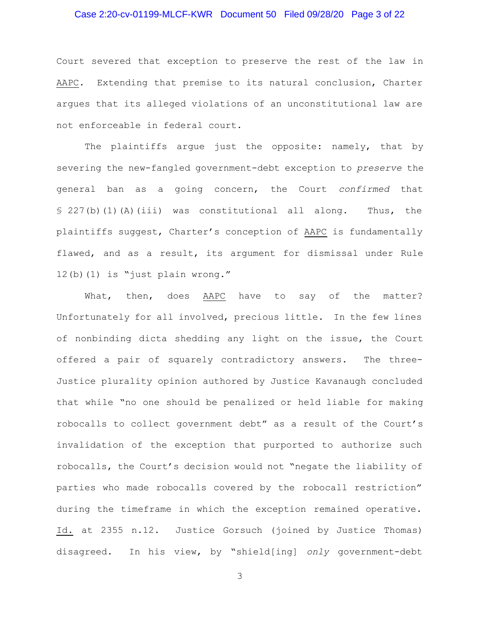# Case 2:20-cv-01199-MLCF-KWR Document 50 Filed 09/28/20 Page 3 of 22

Court severed that exception to preserve the rest of the law in AAPC. Extending that premise to its natural conclusion, Charter argues that its alleged violations of an unconstitutional law are not enforceable in federal court.

The plaintiffs argue just the opposite: namely, that by severing the new-fangled government-debt exception to preserve the general ban as a going concern, the Court confirmed that § 227(b)(1)(A)(iii) was constitutional all along. Thus, the plaintiffs suggest, Charter's conception of AAPC is fundamentally flawed, and as a result, its argument for dismissal under Rule 12(b)(1) is "just plain wrong."

What, then, does AAPC have to say of the matter? Unfortunately for all involved, precious little. In the few lines of nonbinding dicta shedding any light on the issue, the Court offered a pair of squarely contradictory answers. The three-Justice plurality opinion authored by Justice Kavanaugh concluded that while "no one should be penalized or held liable for making robocalls to collect government debt" as a result of the Court's invalidation of the exception that purported to authorize such robocalls, the Court's decision would not "negate the liability of parties who made robocalls covered by the robocall restriction" during the timeframe in which the exception remained operative. Id. at 2355 n.12. Justice Gorsuch (joined by Justice Thomas) disagreed. In his view, by "shield[ing] only government-debt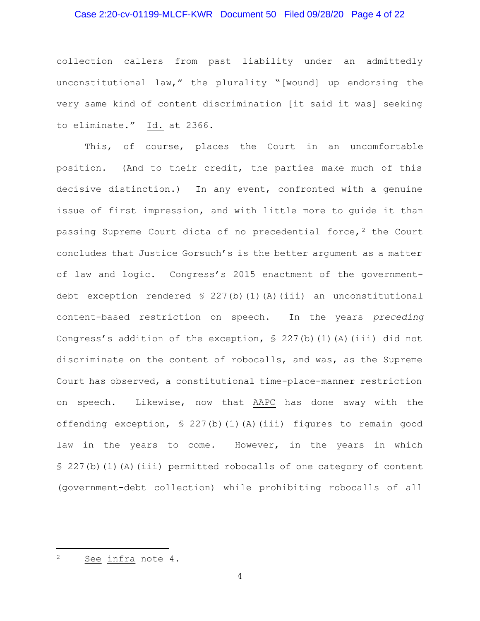# Case 2:20-cv-01199-MLCF-KWR Document 50 Filed 09/28/20 Page 4 of 22

collection callers from past liability under an admittedly unconstitutional law," the plurality "[wound] up endorsing the very same kind of content discrimination [it said it was] seeking to eliminate." Id. at 2366.

This, of course, places the Court in an uncomfortable position. (And to their credit, the parties make much of this decisive distinction.) In any event, confronted with a genuine issue of first impression, and with little more to guide it than passing Supreme Court dicta of no precedential force,  $2$  the Court concludes that Justice Gorsuch's is the better argument as a matter of law and logic. Congress's 2015 enactment of the governmentdebt exception rendered  $\frac{1}{227(b)(1)(A)(iii)}$  an unconstitutional content-based restriction on speech. In the years preceding Congress's addition of the exception,  $\frac{1}{2}$  227(b)(1)(A)(iii) did not discriminate on the content of robocalls, and was, as the Supreme Court has observed, a constitutional time-place-manner restriction on speech. Likewise, now that AAPC has done away with the offending exception, § 227(b)(1)(A)(iii) figures to remain good law in the years to come. However, in the years in which § 227(b)(1)(A)(iii) permitted robocalls of one category of content (government-debt collection) while prohibiting robocalls of all

<sup>2</sup> See infra note 4.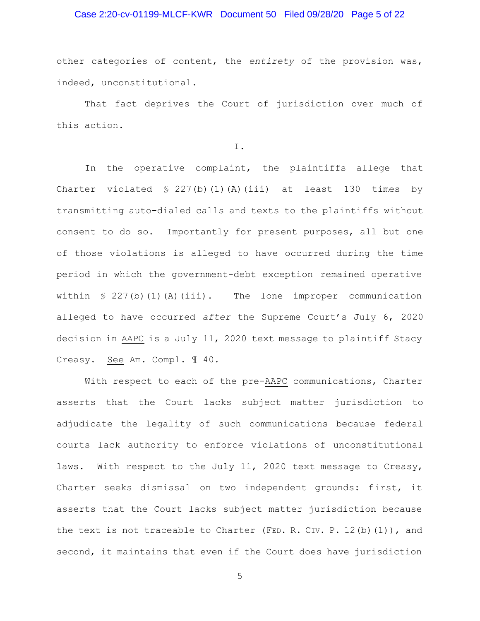# Case 2:20-cv-01199-MLCF-KWR Document 50 Filed 09/28/20 Page 5 of 22

other categories of content, the entirety of the provision was, indeed, unconstitutional.

That fact deprives the Court of jurisdiction over much of this action.

I.

 In the operative complaint, the plaintiffs allege that Charter violated  $\frac{1}{2}$  227(b)(1)(A)(iii) at least 130 times by transmitting auto-dialed calls and texts to the plaintiffs without consent to do so. Importantly for present purposes, all but one of those violations is alleged to have occurred during the time period in which the government-debt exception remained operative within  $\frac{1}{2}$  227(b)(1)(A)(iii). The lone improper communication alleged to have occurred after the Supreme Court's July 6, 2020 decision in AAPC is a July 11, 2020 text message to plaintiff Stacy Creasy. See Am. Compl. ¶ 40.

With respect to each of the pre-AAPC communications, Charter asserts that the Court lacks subject matter jurisdiction to adjudicate the legality of such communications because federal courts lack authority to enforce violations of unconstitutional laws. With respect to the July 11, 2020 text message to Creasy, Charter seeks dismissal on two independent grounds: first, it asserts that the Court lacks subject matter jurisdiction because the text is not traceable to Charter (FED. R. CIV. P. 12(b)(1)), and second, it maintains that even if the Court does have jurisdiction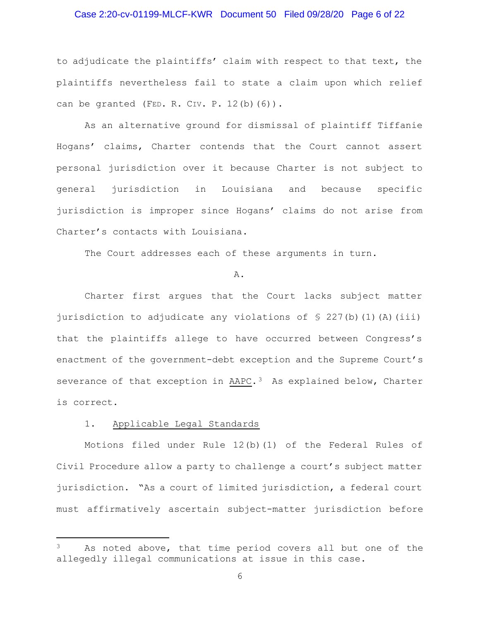# Case 2:20-cv-01199-MLCF-KWR Document 50 Filed 09/28/20 Page 6 of 22

to adjudicate the plaintiffs' claim with respect to that text, the plaintiffs nevertheless fail to state a claim upon which relief can be granted (FED. R. CIV. P.  $12(b)(6)$ ).

 As an alternative ground for dismissal of plaintiff Tiffanie Hogans' claims, Charter contends that the Court cannot assert personal jurisdiction over it because Charter is not subject to general jurisdiction in Louisiana and because specific jurisdiction is improper since Hogans' claims do not arise from Charter's contacts with Louisiana.

The Court addresses each of these arguments in turn.

#### A.

 Charter first argues that the Court lacks subject matter jurisdiction to adjudicate any violations of  $\S$  227(b)(1)(A)(iii) that the plaintiffs allege to have occurred between Congress's enactment of the government-debt exception and the Supreme Court's severance of that exception in AAPC.<sup>3</sup> As explained below, Charter is correct.

#### 1. Applicable Legal Standards

Motions filed under Rule 12(b)(1) of the Federal Rules of Civil Procedure allow a party to challenge a court's subject matter jurisdiction. "As a court of limited jurisdiction, a federal court must affirmatively ascertain subject-matter jurisdiction before

As noted above, that time period covers all but one of the allegedly illegal communications at issue in this case.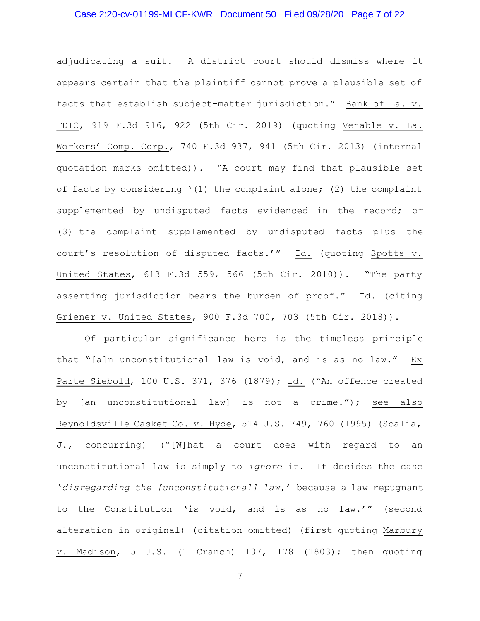# Case 2:20-cv-01199-MLCF-KWR Document 50 Filed 09/28/20 Page 7 of 22

adjudicating a suit. A district court should dismiss where it appears certain that the plaintiff cannot prove a plausible set of facts that establish subject-matter jurisdiction." Bank of La. v. FDIC, 919 F.3d 916, 922 (5th Cir. 2019) (quoting Venable v. La. Workers' Comp. Corp., 740 F.3d 937, 941 (5th Cir. 2013) (internal quotation marks omitted)). "A court may find that plausible set of facts by considering '(1) the complaint alone; (2) the complaint supplemented by undisputed facts evidenced in the record; or (3) the complaint supplemented by undisputed facts plus the court's resolution of disputed facts.'" Id. (quoting Spotts v. United States, 613 F.3d 559, 566 (5th Cir. 2010)). "The party asserting jurisdiction bears the burden of proof." Id. (citing Griener v. United States, 900 F.3d 700, 703 (5th Cir. 2018)).

Of particular significance here is the timeless principle that "[a]n unconstitutional law is void, and is as no law." Ex Parte Siebold, 100 U.S. 371, 376 (1879); id. ("An offence created by [an unconstitutional law] is not a crime."); see also Reynoldsville Casket Co. v. Hyde, 514 U.S. 749, 760 (1995) (Scalia, J., concurring) ("[W]hat a court does with regard to an unconstitutional law is simply to ignore it. It decides the case 'disregarding the [unconstitutional] law,' because a law repugnant to the Constitution 'is void, and is as no law.'" (second alteration in original) (citation omitted) (first quoting Marbury v. Madison, 5 U.S. (1 Cranch) 137, 178 (1803); then quoting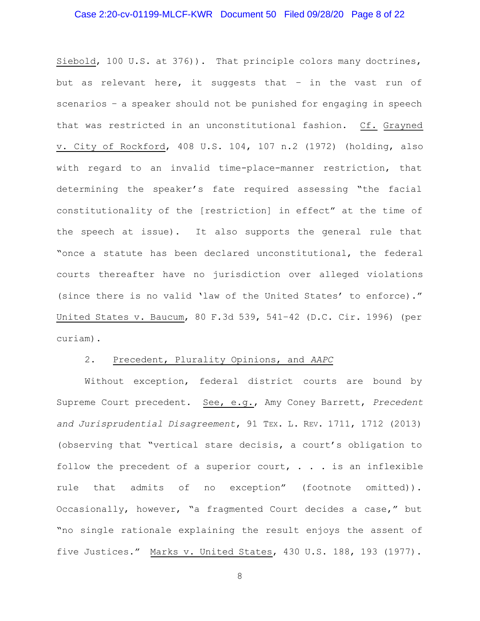# Case 2:20-cv-01199-MLCF-KWR Document 50 Filed 09/28/20 Page 8 of 22

Siebold, 100 U.S. at 376)). That principle colors many doctrines, but as relevant here, it suggests that – in the vast run of scenarios – a speaker should not be punished for engaging in speech that was restricted in an unconstitutional fashion. Cf. Grayned v. City of Rockford, 408 U.S. 104, 107 n.2 (1972) (holding, also with regard to an invalid time-place-manner restriction, that determining the speaker's fate required assessing "the facial constitutionality of the [restriction] in effect" at the time of the speech at issue). It also supports the general rule that "once a statute has been declared unconstitutional, the federal courts thereafter have no jurisdiction over alleged violations (since there is no valid 'law of the United States' to enforce)." United States v. Baucum, 80 F.3d 539, 541–42 (D.C. Cir. 1996) (per curiam).

#### 2. Precedent, Plurality Opinions, and AAPC

 Without exception, federal district courts are bound by Supreme Court precedent. See, e.g., Amy Coney Barrett, Precedent and Jurisprudential Disagreement, 91 TEX. L. REV. 1711, 1712 (2013) (observing that "vertical stare decisis, a court's obligation to follow the precedent of a superior court,  $\ldots$  is an inflexible rule that admits of no exception" (footnote omitted)). Occasionally, however, "a fragmented Court decides a case," but "no single rationale explaining the result enjoys the assent of five Justices." Marks v. United States, 430 U.S. 188, 193 (1977).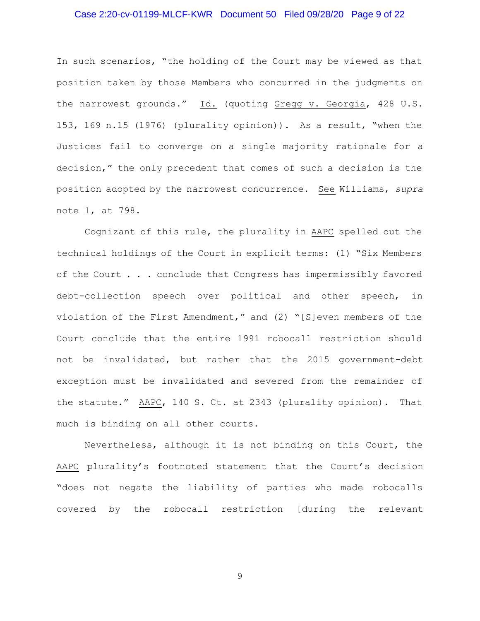# Case 2:20-cv-01199-MLCF-KWR Document 50 Filed 09/28/20 Page 9 of 22

In such scenarios, "the holding of the Court may be viewed as that position taken by those Members who concurred in the judgments on the narrowest grounds." Id. (quoting Gregg v. Georgia, 428 U.S. 153, 169 n.15 (1976) (plurality opinion)). As a result, "when the Justices fail to converge on a single majority rationale for a decision," the only precedent that comes of such a decision is the position adopted by the narrowest concurrence. See Williams, supra note 1, at 798.

 Cognizant of this rule, the plurality in AAPC spelled out the technical holdings of the Court in explicit terms: (1) "Six Members of the Court . . . conclude that Congress has impermissibly favored debt-collection speech over political and other speech, in violation of the First Amendment," and (2) "[S]even members of the Court conclude that the entire 1991 robocall restriction should not be invalidated, but rather that the 2015 government-debt exception must be invalidated and severed from the remainder of the statute." AAPC, 140 S. Ct. at 2343 (plurality opinion). That much is binding on all other courts.

 Nevertheless, although it is not binding on this Court, the AAPC plurality's footnoted statement that the Court's decision "does not negate the liability of parties who made robocalls covered by the robocall restriction [during the relevant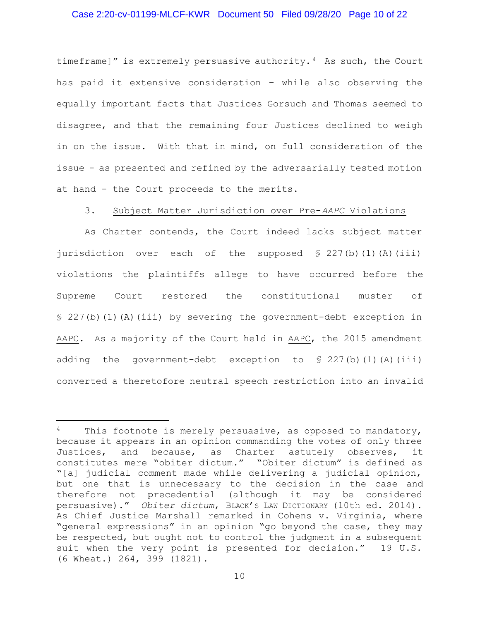# Case 2:20-cv-01199-MLCF-KWR Document 50 Filed 09/28/20 Page 10 of 22

timeframe]" is extremely persuasive authority.<sup>4</sup> As such, the Court has paid it extensive consideration – while also observing the equally important facts that Justices Gorsuch and Thomas seemed to disagree, and that the remaining four Justices declined to weigh in on the issue. With that in mind, on full consideration of the issue - as presented and refined by the adversarially tested motion at hand - the Court proceeds to the merits.

## 3. Subject Matter Jurisdiction over Pre-AAPC Violations

 As Charter contends, the Court indeed lacks subject matter jurisdiction over each of the supposed  $\S 227(b)(1)(A)(iii)$ violations the plaintiffs allege to have occurred before the Supreme Court restored the constitutional muster of § 227(b)(1)(A)(iii) by severing the government-debt exception in AAPC. As a majority of the Court held in AAPC, the 2015 amendment adding the government-debt exception to  $$ 227(b)(1)(A)(iii)$ converted a theretofore neutral speech restriction into an invalid

<sup>&</sup>lt;sup>4</sup> This footnote is merely persuasive, as opposed to mandatory, because it appears in an opinion commanding the votes of only three Justices, and because, as Charter astutely observes, it constitutes mere "obiter dictum." "Obiter dictum" is defined as "[a] judicial comment made while delivering a judicial opinion, but one that is unnecessary to the decision in the case and therefore not precedential (although it may be considered persuasive)." Obiter dictum, BLACK'S LAW DICTIONARY (10th ed. 2014). As Chief Justice Marshall remarked in Cohens v. Virginia, where "general expressions" in an opinion "go beyond the case, they may be respected, but ought not to control the judgment in a subsequent suit when the very point is presented for decision." 19 U.S. (6 Wheat.) 264, 399 (1821).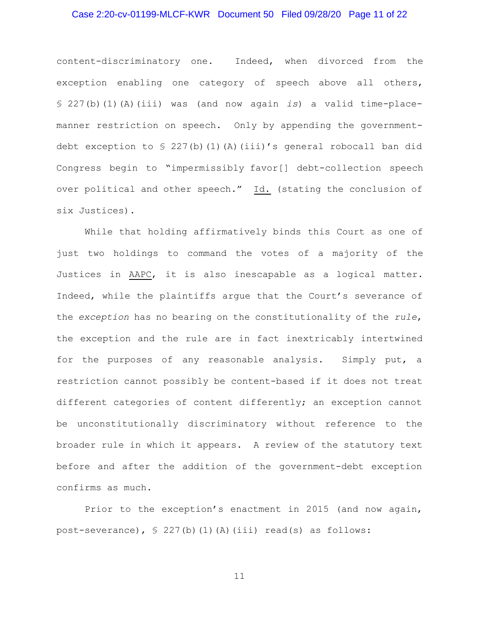# Case 2:20-cv-01199-MLCF-KWR Document 50 Filed 09/28/20 Page 11 of 22

content-discriminatory one. Indeed, when divorced from the exception enabling one category of speech above all others, § 227(b)(1)(A)(iii) was (and now again is) a valid time-placemanner restriction on speech. Only by appending the governmentdebt exception to § 227(b)(1)(A)(iii)'s general robocall ban did Congress begin to "impermissibly favor[] debt-collection speech over political and other speech." Id. (stating the conclusion of six Justices).

 While that holding affirmatively binds this Court as one of just two holdings to command the votes of a majority of the Justices in AAPC, it is also inescapable as a logical matter. Indeed, while the plaintiffs argue that the Court's severance of the exception has no bearing on the constitutionality of the rule, the exception and the rule are in fact inextricably intertwined for the purposes of any reasonable analysis. Simply put, a restriction cannot possibly be content-based if it does not treat different categories of content differently; an exception cannot be unconstitutionally discriminatory without reference to the broader rule in which it appears. A review of the statutory text before and after the addition of the government-debt exception confirms as much.

 Prior to the exception's enactment in 2015 (and now again, post-severance), § 227(b)(1)(A)(iii) read(s) as follows: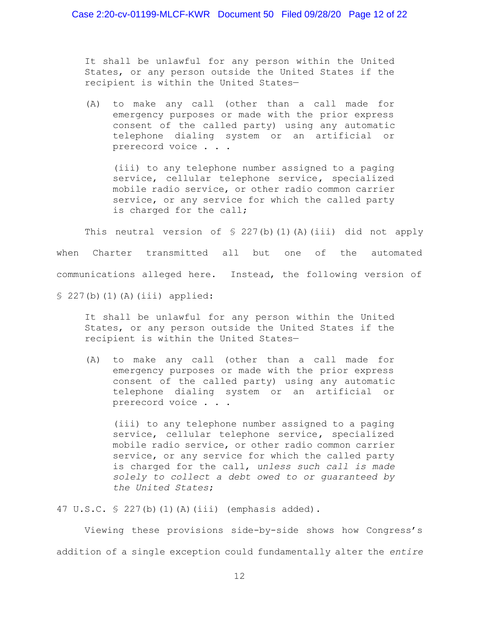It shall be unlawful for any person within the United States, or any person outside the United States if the recipient is within the United States—

(A) to make any call (other than a call made for emergency purposes or made with the prior express consent of the called party) using any automatic telephone dialing system or an artificial or prerecord voice . . .

(iii) to any telephone number assigned to a paging service, cellular telephone service, specialized mobile radio service, or other radio common carrier service, or any service for which the called party is charged for the call;

This neutral version of  $\S 227(b)(1)(A)(iii)$  did not apply when Charter transmitted all but one of the automated communications alleged here. Instead, the following version of § 227(b)(1)(A)(iii) applied:

It shall be unlawful for any person within the United States, or any person outside the United States if the recipient is within the United States—

(A) to make any call (other than a call made for emergency purposes or made with the prior express consent of the called party) using any automatic telephone dialing system or an artificial or prerecord voice . . .

(iii) to any telephone number assigned to a paging service, cellular telephone service, specialized mobile radio service, or other radio common carrier service, or any service for which the called party is charged for the call, unless such call is made solely to collect a debt owed to or guaranteed by the United States;

47 U.S.C. § 227(b)(1)(A)(iii) (emphasis added).

Viewing these provisions side-by-side shows how Congress's addition of a single exception could fundamentally alter the entire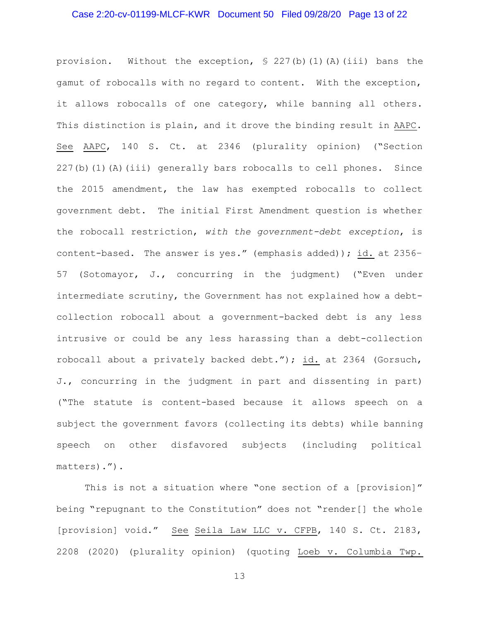## Case 2:20-cv-01199-MLCF-KWR Document 50 Filed 09/28/20 Page 13 of 22

provision. Without the exception, § 227(b)(1)(A)(iii) bans the gamut of robocalls with no regard to content. With the exception, it allows robocalls of one category, while banning all others. This distinction is plain, and it drove the binding result in AAPC. See AAPC, 140 S. Ct. at 2346 (plurality opinion) ("Section 227(b)(1)(A)(iii) generally bars robocalls to cell phones. Since the 2015 amendment, the law has exempted robocalls to collect government debt. The initial First Amendment question is whether the robocall restriction, with the government-debt exception, is content-based. The answer is yes." (emphasis added)); id. at 2356– 57 (Sotomayor, J., concurring in the judgment) ("Even under intermediate scrutiny, the Government has not explained how a debtcollection robocall about a government-backed debt is any less intrusive or could be any less harassing than a debt-collection robocall about a privately backed debt."); id. at 2364 (Gorsuch, J., concurring in the judgment in part and dissenting in part) ("The statute is content-based because it allows speech on a subject the government favors (collecting its debts) while banning speech on other disfavored subjects (including political matters).").

This is not a situation where "one section of a [provision]" being "repugnant to the Constitution" does not "render[] the whole [provision] void." See Seila Law LLC v. CFPB, 140 S. Ct. 2183, 2208 (2020) (plurality opinion) (quoting Loeb v. Columbia Twp.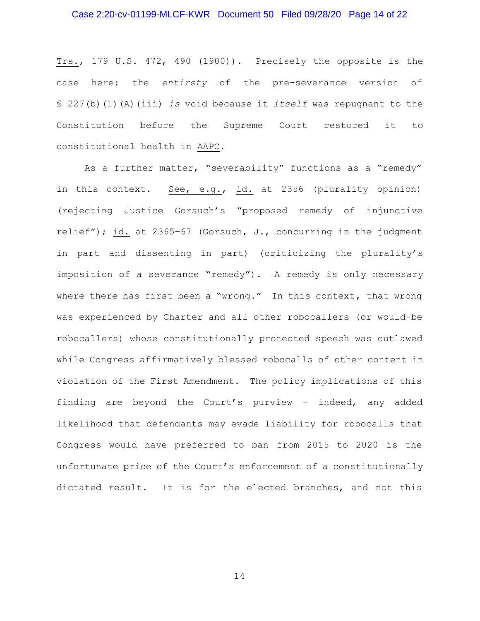# Case 2:20-cv-01199-MLCF-KWR Document 50 Filed 09/28/20 Page 14 of 22

Trs., 179 U.S. 472, 490 (1900)). Precisely the opposite is the case here: the entirety of the pre-severance version of  $$ 227(b)(1)(A)(iii) is void because it itself was repugnant to the$ Constitution before the Supreme Court restored it to constitutional health in AAPC.

As a further matter, "severability" functions as a "remedy" in this context. See, e.g., id. at 2356 (plurality opinion) (rejecting Justice Gorsuch's "proposed remedy of injunctive relief"); id. at 2365–67 (Gorsuch, J., concurring in the judgment in part and dissenting in part) (criticizing the plurality's imposition of a severance "remedy"). A remedy is only necessary where there has first been a "wrong." In this context, that wrong was experienced by Charter and all other robocallers (or would-be robocallers) whose constitutionally protected speech was outlawed while Congress affirmatively blessed robocalls of other content in violation of the First Amendment. The policy implications of this finding are beyond the Court's purview – indeed, any added likelihood that defendants may evade liability for robocalls that Congress would have preferred to ban from 2015 to 2020 is the unfortunate price of the Court's enforcement of a constitutionally dictated result. It is for the elected branches, and not this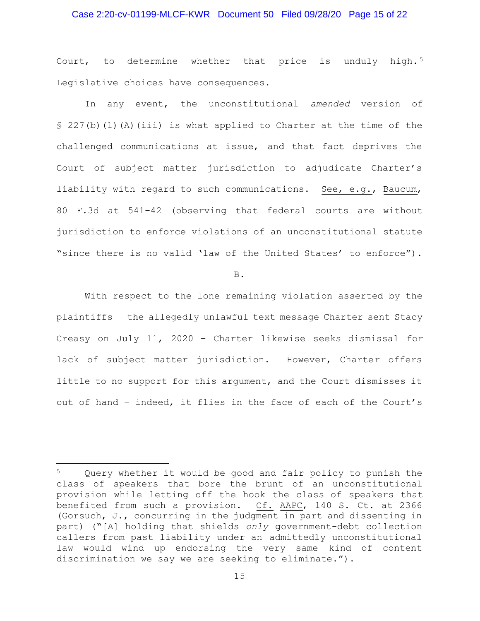# Case 2:20-cv-01199-MLCF-KWR Document 50 Filed 09/28/20 Page 15 of 22

Court, to determine whether that price is unduly high.<sup>5</sup> Legislative choices have consequences.

In any event, the unconstitutional amended version of § 227(b)(1)(A)(iii) is what applied to Charter at the time of the challenged communications at issue, and that fact deprives the Court of subject matter jurisdiction to adjudicate Charter's liability with regard to such communications. See, e.g., Baucum, 80 F.3d at 541–42 (observing that federal courts are without jurisdiction to enforce violations of an unconstitutional statute "since there is no valid 'law of the United States' to enforce").

B.

 With respect to the lone remaining violation asserted by the plaintiffs – the allegedly unlawful text message Charter sent Stacy Creasy on July 11, 2020 – Charter likewise seeks dismissal for lack of subject matter jurisdiction. However, Charter offers little to no support for this argument, and the Court dismisses it out of hand – indeed, it flies in the face of each of the Court's

Query whether it would be good and fair policy to punish the class of speakers that bore the brunt of an unconstitutional provision while letting off the hook the class of speakers that benefited from such a provision. Cf. AAPC, 140 S. Ct. at 2366 (Gorsuch, J., concurring in the judgment in part and dissenting in part) ("[A] holding that shields only government-debt collection callers from past liability under an admittedly unconstitutional law would wind up endorsing the very same kind of content discrimination we say we are seeking to eliminate.").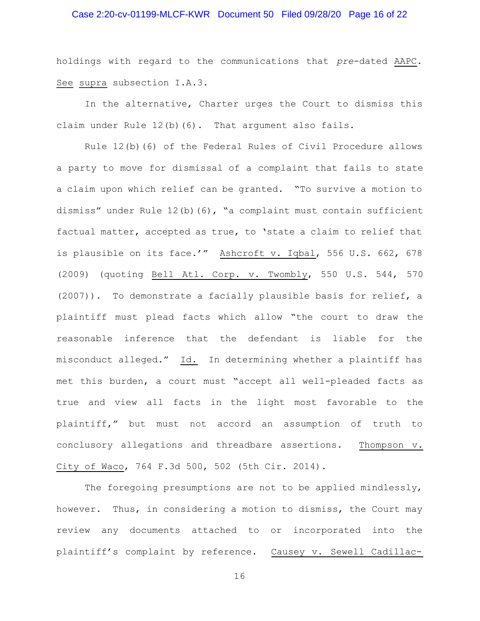# Case 2:20-cv-01199-MLCF-KWR Document 50 Filed 09/28/20 Page 16 of 22

holdings with regard to the communications that pre-dated AAPC. See supra subsection I.A.3.

 In the alternative, Charter urges the Court to dismiss this claim under Rule 12(b)(6). That argument also fails.

 Rule 12(b)(6) of the Federal Rules of Civil Procedure allows a party to move for dismissal of a complaint that fails to state a claim upon which relief can be granted. "To survive a motion to dismiss" under Rule 12(b)(6), "a complaint must contain sufficient factual matter, accepted as true, to 'state a claim to relief that is plausible on its face.'" Ashcroft v. Iqbal, 556 U.S. 662, 678 (2009) (quoting Bell Atl. Corp. v. Twombly, 550 U.S. 544, 570 (2007)). To demonstrate a facially plausible basis for relief, a plaintiff must plead facts which allow "the court to draw the reasonable inference that the defendant is liable for the misconduct alleged." Id. In determining whether a plaintiff has met this burden, a court must "accept all well-pleaded facts as true and view all facts in the light most favorable to the plaintiff," but must not accord an assumption of truth to conclusory allegations and threadbare assertions. Thompson v. City of Waco, 764 F.3d 500, 502 (5th Cir. 2014).

The foregoing presumptions are not to be applied mindlessly, however. Thus, in considering a motion to dismiss, the Court may review any documents attached to or incorporated into the plaintiff's complaint by reference. Causey v. Sewell Cadillac-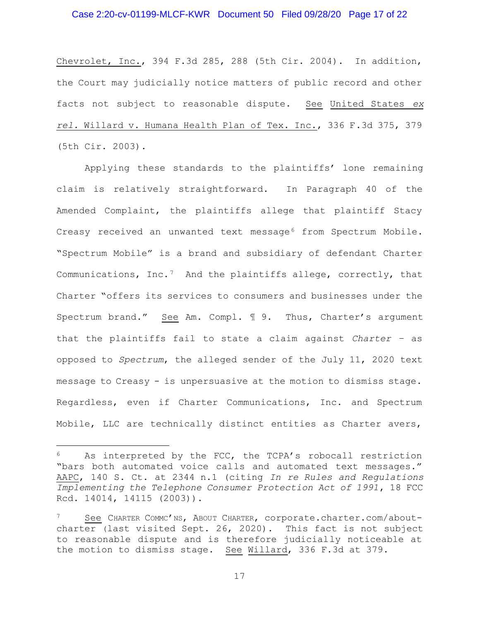# Case 2:20-cv-01199-MLCF-KWR Document 50 Filed 09/28/20 Page 17 of 22

Chevrolet, Inc., 394 F.3d 285, 288 (5th Cir. 2004). In addition, the Court may judicially notice matters of public record and other facts not subject to reasonable dispute. See United States ex rel. Willard v. Humana Health Plan of Tex. Inc., 336 F.3d 375, 379 (5th Cir. 2003).

 Applying these standards to the plaintiffs' lone remaining claim is relatively straightforward. In Paragraph 40 of the Amended Complaint, the plaintiffs allege that plaintiff Stacy Creasy received an unwanted text message<sup>6</sup> from Spectrum Mobile. "Spectrum Mobile" is a brand and subsidiary of defendant Charter Communications, Inc.<sup>7</sup> And the plaintiffs allege, correctly, that Charter "offers its services to consumers and businesses under the Spectrum brand." See Am. Compl. ¶ 9. Thus, Charter's argument that the plaintiffs fail to state a claim against Charter – as opposed to Spectrum, the alleged sender of the July 11, 2020 text message to Creasy - is unpersuasive at the motion to dismiss stage. Regardless, even if Charter Communications, Inc. and Spectrum Mobile, LLC are technically distinct entities as Charter avers,

<sup>&</sup>lt;sup>6</sup> As interpreted by the FCC, the TCPA's robocall restriction "bars both automated voice calls and automated text messages." AAPC, 140 S. Ct. at 2344 n.1 (citing In re Rules and Regulations Implementing the Telephone Consumer Protection Act of 1991, 18 FCC Rcd. 14014, 14115 (2003)).

See CHARTER COMMC'NS, ABOUT CHARTER, corporate.charter.com/aboutcharter (last visited Sept. 26, 2020). This fact is not subject to reasonable dispute and is therefore judicially noticeable at the motion to dismiss stage. See Willard, 336 F.3d at 379.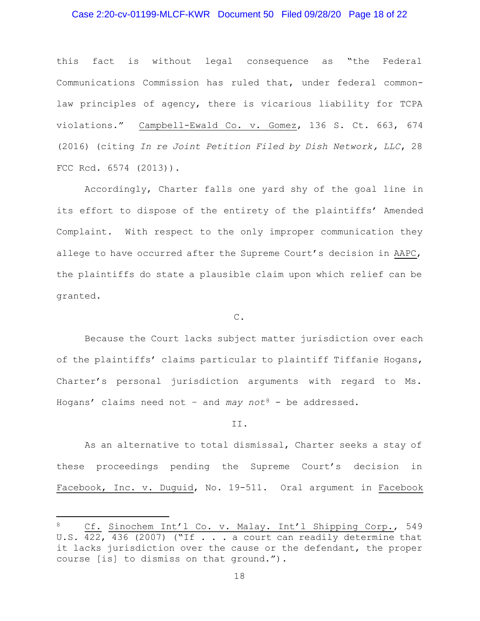# Case 2:20-cv-01199-MLCF-KWR Document 50 Filed 09/28/20 Page 18 of 22

this fact is without legal consequence as "the Federal Communications Commission has ruled that, under federal commonlaw principles of agency, there is vicarious liability for TCPA violations." Campbell-Ewald Co. v. Gomez, 136 S. Ct. 663, 674 (2016) (citing In re Joint Petition Filed by Dish Network, LLC, 28 FCC Rcd. 6574 (2013)).

 Accordingly, Charter falls one yard shy of the goal line in its effort to dispose of the entirety of the plaintiffs' Amended Complaint. With respect to the only improper communication they allege to have occurred after the Supreme Court's decision in AAPC, the plaintiffs do state a plausible claim upon which relief can be granted.

C.

 Because the Court lacks subject matter jurisdiction over each of the plaintiffs' claims particular to plaintiff Tiffanie Hogans, Charter's personal jurisdiction arguments with regard to Ms. Hogans' claims need not - and may not<sup>8</sup> - be addressed.

#### II.

 As an alternative to total dismissal, Charter seeks a stay of these proceedings pending the Supreme Court's decision in Facebook, Inc. v. Duguid, No. 19-511. Oral argument in Facebook

Cf. Sinochem Int'l Co. v. Malay. Int'l Shipping Corp., 549 U.S. 422, 436 (2007) ("If . . . a court can readily determine that it lacks jurisdiction over the cause or the defendant, the proper course [is] to dismiss on that ground.").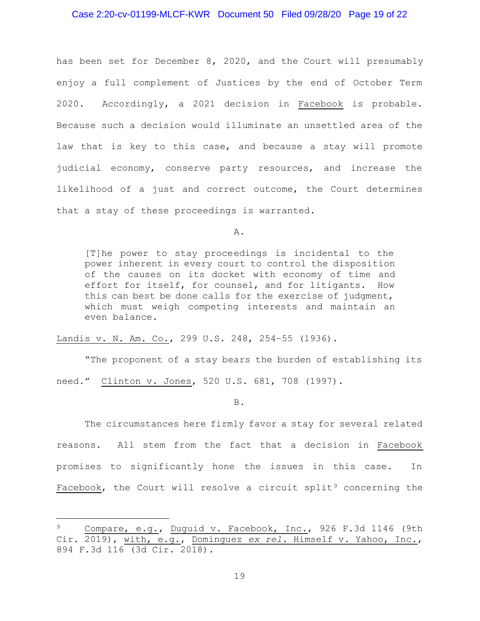# Case 2:20-cv-01199-MLCF-KWR Document 50 Filed 09/28/20 Page 19 of 22

has been set for December 8, 2020, and the Court will presumably enjoy a full complement of Justices by the end of October Term 2020. Accordingly, a 2021 decision in Facebook is probable. Because such a decision would illuminate an unsettled area of the law that is key to this case, and because a stay will promote judicial economy, conserve party resources, and increase the likelihood of a just and correct outcome, the Court determines that a stay of these proceedings is warranted.

A.

[T]he power to stay proceedings is incidental to the power inherent in every court to control the disposition of the causes on its docket with economy of time and effort for itself, for counsel, and for litigants. How this can best be done calls for the exercise of judgment, which must weigh competing interests and maintain an even balance.

Landis v. N. Am. Co., 299 U.S. 248, 254-55 (1936).

"The proponent of a stay bears the burden of establishing its

need." Clinton v. Jones, 520 U.S. 681, 708 (1997).

B.

 The circumstances here firmly favor a stay for several related reasons. All stem from the fact that a decision in Facebook promises to significantly hone the issues in this case. In Facebook, the Court will resolve a circuit split<sup>9</sup> concerning the

Compare, e.g., Duguid v. Facebook, Inc., 926 F.3d 1146 (9th Cir. 2019), with, e.g., Dominguez ex rel. Himself v. Yahoo, Inc., 894 F.3d 116 (3d Cir. 2018).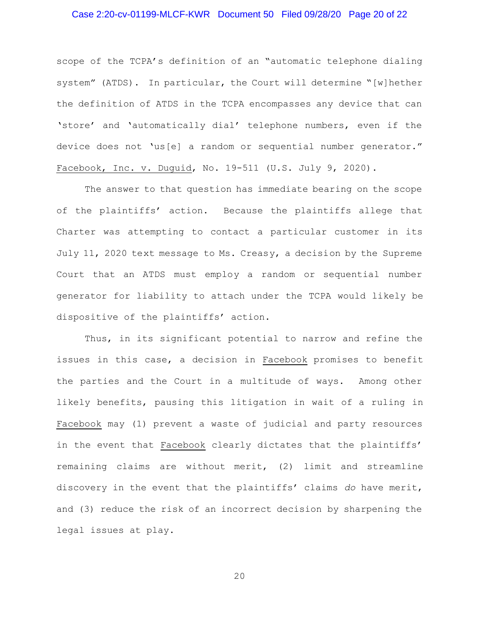# Case 2:20-cv-01199-MLCF-KWR Document 50 Filed 09/28/20 Page 20 of 22

scope of the TCPA's definition of an "automatic telephone dialing system" (ATDS). In particular, the Court will determine "[w]hether the definition of ATDS in the TCPA encompasses any device that can 'store' and 'automatically dial' telephone numbers, even if the device does not 'us[e] a random or sequential number generator." Facebook, Inc. v. Duguid, No. 19-511 (U.S. July 9, 2020).

The answer to that question has immediate bearing on the scope of the plaintiffs' action. Because the plaintiffs allege that Charter was attempting to contact a particular customer in its July 11, 2020 text message to Ms. Creasy, a decision by the Supreme Court that an ATDS must employ a random or sequential number generator for liability to attach under the TCPA would likely be dispositive of the plaintiffs' action.

Thus, in its significant potential to narrow and refine the issues in this case, a decision in Facebook promises to benefit the parties and the Court in a multitude of ways. Among other likely benefits, pausing this litigation in wait of a ruling in Facebook may (1) prevent a waste of judicial and party resources in the event that Facebook clearly dictates that the plaintiffs' remaining claims are without merit, (2) limit and streamline discovery in the event that the plaintiffs' claims do have merit, and (3) reduce the risk of an incorrect decision by sharpening the legal issues at play.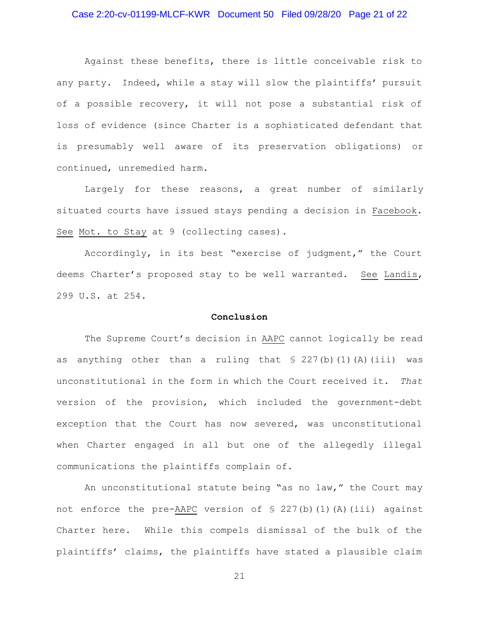# Case 2:20-cv-01199-MLCF-KWR Document 50 Filed 09/28/20 Page 21 of 22

Against these benefits, there is little conceivable risk to any party. Indeed, while a stay will slow the plaintiffs' pursuit of a possible recovery, it will not pose a substantial risk of loss of evidence (since Charter is a sophisticated defendant that is presumably well aware of its preservation obligations) or continued, unremedied harm.

Largely for these reasons, a great number of similarly situated courts have issued stays pending a decision in Facebook. See Mot. to Stay at 9 (collecting cases).

Accordingly, in its best "exercise of judgment," the Court deems Charter's proposed stay to be well warranted. See Landis, 299 U.S. at 254.

#### Conclusion

 The Supreme Court's decision in AAPC cannot logically be read as anything other than a ruling that  $\S$  227(b)(1)(A)(iii) was unconstitutional in the form in which the Court received it. That version of the provision, which included the government-debt exception that the Court has now severed, was unconstitutional when Charter engaged in all but one of the allegedly illegal communications the plaintiffs complain of.

 An unconstitutional statute being "as no law," the Court may not enforce the pre-AAPC version of  $\S$  227(b)(1)(A)(iii) against Charter here. While this compels dismissal of the bulk of the plaintiffs' claims, the plaintiffs have stated a plausible claim